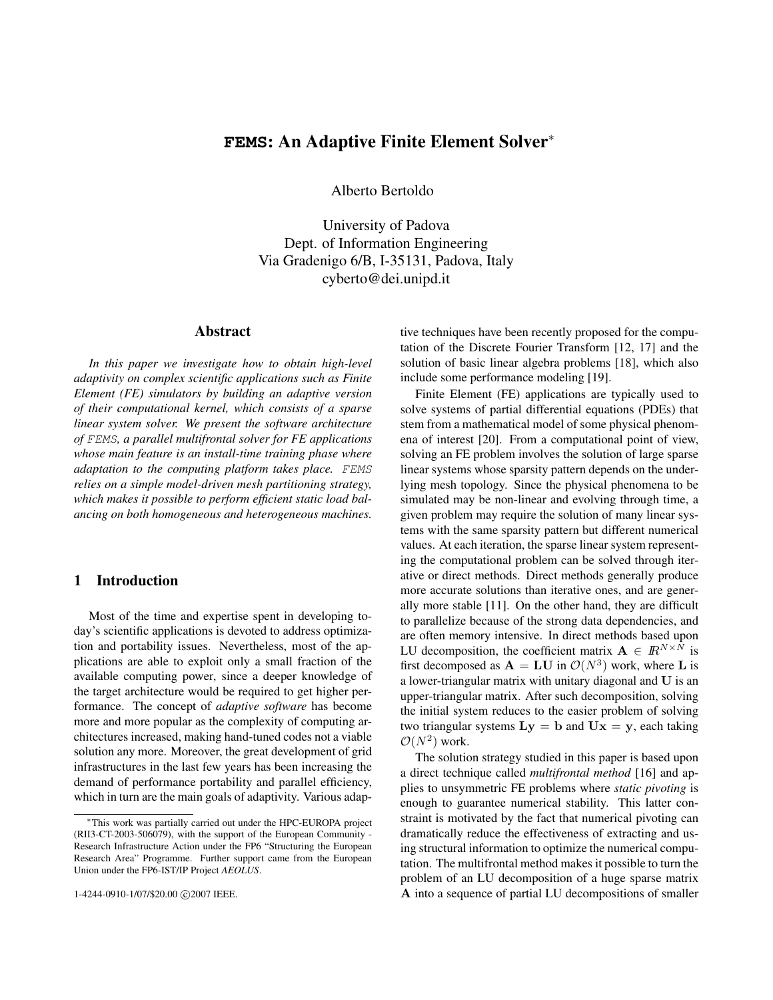# **FEMS**: An Adaptive Finite Element Solver<sup>∗</sup>

Alberto Bertoldo

University of Padova Dept. of Information Engineering Via Gradenigo 6/B, I-35131, Padova, Italy cyberto@dei.unipd.it

#### Abstract

*In this paper we investigate how to obtain high-level adaptivity on complex scientific applications such as Finite Element (FE) simulators by building an adaptive version of their computational kernel, which consists of a sparse linear system solver. We present the software architecture of* FEMS*, a parallel multifrontal solver for FE applications whose main feature is an install-time training phase where adaptation to the computing platform takes place.* FEMS *relies on a simple model-driven mesh partitioning strategy, which makes it possible to perform efficient static load balancing on both homogeneous and heterogeneous machines.*

## 1 Introduction

Most of the time and expertise spent in developing today's scientific applications is devoted to address optimization and portability issues. Nevertheless, most of the applications are able to exploit only a small fraction of the available computing power, since a deeper knowledge of the target architecture would be required to get higher performance. The concept of *adaptive software* has become more and more popular as the complexity of computing architectures increased, making hand-tuned codes not a viable solution any more. Moreover, the great development of grid infrastructures in the last few years has been increasing the demand of performance portability and parallel efficiency, which in turn are the main goals of adaptivity. Various adap-

1-4244-0910-1/07/\$20.00 C 2007 IEEE.

tive techniques have been recently proposed for the computation of the Discrete Fourier Transform [12, 17] and the solution of basic linear algebra problems [18], which also include some performance modeling [19].

Finite Element (FE) applications are typically used to solve systems of partial differential equations (PDEs) that stem from a mathematical model of some physical phenomena of interest [20]. From a computational point of view, solving an FE problem involves the solution of large sparse linear systems whose sparsity pattern depends on the underlying mesh topology. Since the physical phenomena to be simulated may be non-linear and evolving through time, a given problem may require the solution of many linear systems with the same sparsity pattern but different numerical values. At each iteration, the sparse linear system representing the computational problem can be solved through iterative or direct methods. Direct methods generally produce more accurate solutions than iterative ones, and are generally more stable [11]. On the other hand, they are difficult to parallelize because of the strong data dependencies, and are often memory intensive. In direct methods based upon LU decomposition, the coefficient matrix  $\mathbf{A} \in \mathbb{R}^{N \times N}$  is first decomposed as  $\mathbf{A} = \mathbf{L}\mathbf{U}$  in  $\mathcal{O}(N^3)$  work, where  $\mathbf{L}$  is a lower-triangular matrix with unitary diagonal and U is an upper-triangular matrix. After such decomposition, solving the initial system reduces to the easier problem of solving two triangular systems  $L_y = b$  and  $U_x = y$ , each taking  $\mathcal{O}(N^2)$  work.

The solution strategy studied in this paper is based upon a direct technique called *multifrontal method* [16] and applies to unsymmetric FE problems where *static pivoting* is enough to guarantee numerical stability. This latter constraint is motivated by the fact that numerical pivoting can dramatically reduce the effectiveness of extracting and using structural information to optimize the numerical computation. The multifrontal method makes it possible to turn the problem of an LU decomposition of a huge sparse matrix A into a sequence of partial LU decompositions of smaller

<sup>∗</sup>This work was partially carried out under the HPC-EUROPA project (RII3-CT-2003-506079), with the support of the European Community - Research Infrastructure Action under the FP6 "Structuring the European Research Area" Programme. Further support came from the European Union under the FP6-IST/IP Project *AEOLUS*.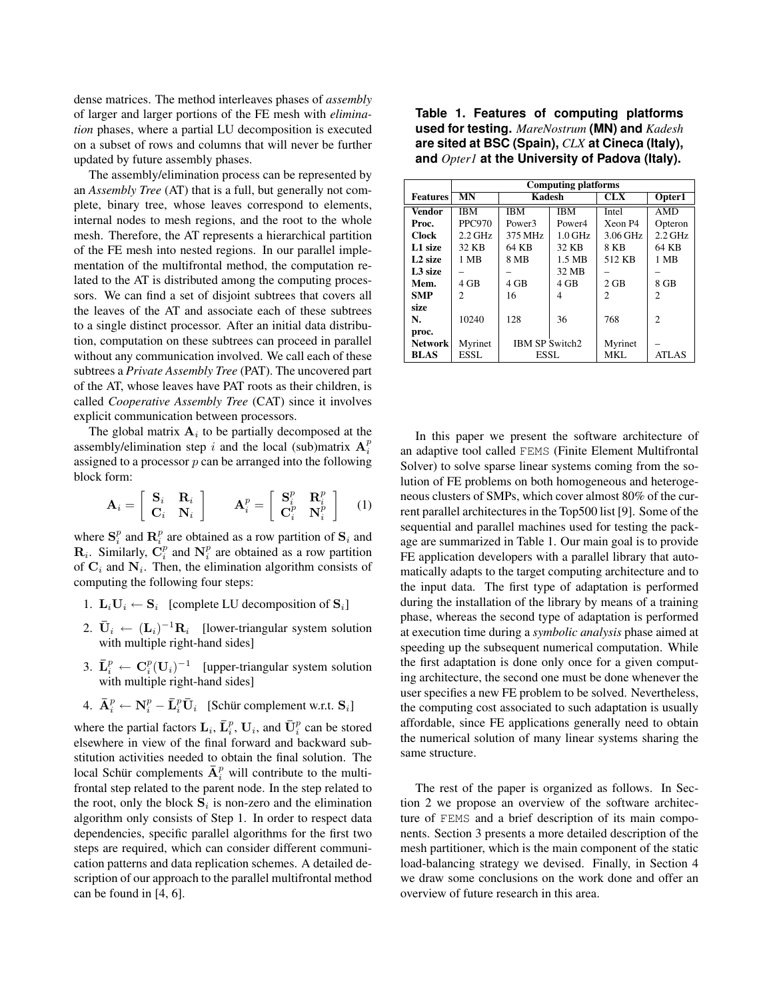dense matrices. The method interleaves phases of *assembly* of larger and larger portions of the FE mesh with *elimination* phases, where a partial LU decomposition is executed on a subset of rows and columns that will never be further updated by future assembly phases.

The assembly/elimination process can be represented by an *Assembly Tree* (AT) that is a full, but generally not complete, binary tree, whose leaves correspond to elements, internal nodes to mesh regions, and the root to the whole mesh. Therefore, the AT represents a hierarchical partition of the FE mesh into nested regions. In our parallel implementation of the multifrontal method, the computation related to the AT is distributed among the computing processors. We can find a set of disjoint subtrees that covers all the leaves of the AT and associate each of these subtrees to a single distinct processor. After an initial data distribution, computation on these subtrees can proceed in parallel without any communication involved. We call each of these subtrees a *Private Assembly Tree* (PAT). The uncovered part of the AT, whose leaves have PAT roots as their children, is called *Cooperative Assembly Tree* (CAT) since it involves explicit communication between processors.

The global matrix  $A_i$  to be partially decomposed at the assembly/elimination step i and the local (sub)matrix  $A_i^p$ assigned to a processor  $p$  can be arranged into the following block form:

$$
\mathbf{A}_{i} = \left[ \begin{array}{cc} \mathbf{S}_{i} & \mathbf{R}_{i} \\ \mathbf{C}_{i} & \mathbf{N}_{i} \end{array} \right] \qquad \mathbf{A}_{i}^{p} = \left[ \begin{array}{cc} \mathbf{S}_{i}^{p} & \mathbf{R}_{i}^{p} \\ \mathbf{C}_{i}^{p} & \mathbf{N}_{i}^{p} \end{array} \right] \qquad (1)
$$

where  $S_i^p$  and  $\mathbf{R}_i^p$  are obtained as a row partition of  $\mathbf{S}_i$  and  $\mathbf{R}_i$ . Similarly,  $\mathbf{C}_i^p$  and  $\mathbf{N}_i^p$  are obtained as a row partition of  $\mathbf{C}_i$  and  $\mathbf{N}_i$ . Then, the elimination algorithm consists of computing the following four steps:

- 1.  $\mathbf{L}_i \mathbf{U}_i \leftarrow \mathbf{S}_i$  [complete LU decomposition of  $\mathbf{S}_i$ ]
- 2.  $\bar{\mathbf{U}}_i \leftarrow (\mathbf{L}_i)^{-1} \mathbf{R}_i$  [lower-triangular system solution with multiple right-hand sides]
- 3.  $\bar{\mathbf{L}}_i^p \leftarrow \mathbf{C}_i^p(\mathbf{U}_i)^{-1}$  [upper-triangular system solution with multiple right-hand sides]
- 4.  $\bar{\mathbf{A}}_i^p \leftarrow \mathbf{N}_i^p \bar{\mathbf{L}}_i^p \bar{\mathbf{U}}_i$  [Schür complement w.r.t.  $\mathbf{S}_i$ ]

where the partial factors  $\mathbf{L}_i$ ,  $\bar{\mathbf{L}}_i^p$ ,  $\mathbf{U}_i$ , and  $\bar{\mathbf{U}}_i^p$  can be stored elsewhere in view of the final forward and backward substitution activities needed to obtain the final solution. The local Schür complements  $\bar{A}_i^p$  will contribute to the multifrontal step related to the parent node. In the step related to the root, only the block  $S_i$  is non-zero and the elimination algorithm only consists of Step 1. In order to respect data dependencies, specific parallel algorithms for the first two steps are required, which can consider different communication patterns and data replication schemes. A detailed description of our approach to the parallel multifrontal method can be found in [4, 6].

| Table 1. Features of computing platforms                    |  |  |
|-------------------------------------------------------------|--|--|
| <b>used for testing.</b> MareNostrum <b>(MN) and</b> Kadesh |  |  |
| are sited at BSC (Spain), CLX at Cineca (Italy),            |  |  |
| and Opter1 at the University of Padova (Italy).             |  |  |

|                     | <b>Computing platforms</b> |                       |            |            |                |
|---------------------|----------------------------|-----------------------|------------|------------|----------------|
| <b>Features</b>     | $\overline{\text{MN}}$     | Kadesh                |            | <b>CLX</b> | Opter1         |
| Vendor              | <b>IBM</b>                 | <b>IBM</b>            | <b>IBM</b> | Intel      | <b>AMD</b>     |
| Proc.               | <b>PPC970</b>              | Power3                | Power4     | Xeon P4    | Opteron        |
| <b>Clock</b>        | $2.2$ GHz                  | 375 MHz               | $1.0$ GHz  | 3.06 GHz   | $2.2$ GHz      |
| L1 size             | 32 KB                      | 64 KB                 | 32 KB      | 8 KB       | 64 KB          |
| L <sub>2</sub> size | 1 MB                       | 8 MB                  | 1.5 MB     | 512 KB     | 1 MB           |
| L <sub>3</sub> size |                            |                       | 32 MB      |            |                |
| Mem.                | $4$ GB                     | $4$ GB                | $4$ GB     | $2$ GB     | 8 GB           |
| <b>SMP</b>          | $\overline{c}$             | 16                    | 4          | 2          | $\mathfrak{D}$ |
| size                |                            |                       |            |            |                |
| N.                  | 10240                      | 128                   | 36         | 768        | $\overline{c}$ |
| proc.               |                            |                       |            |            |                |
| <b>Network</b>      | Myrinet                    | <b>IBM SP Switch2</b> |            | Myrinet    |                |
| <b>BLAS</b>         | ESSL.                      | ESSL                  |            | MKL        | <b>ATLAS</b>   |

In this paper we present the software architecture of an adaptive tool called FEMS (Finite Element Multifrontal Solver) to solve sparse linear systems coming from the solution of FE problems on both homogeneous and heterogeneous clusters of SMPs, which cover almost 80% of the current parallel architectures in the Top500 list [9]. Some of the sequential and parallel machines used for testing the package are summarized in Table 1. Our main goal is to provide FE application developers with a parallel library that automatically adapts to the target computing architecture and to the input data. The first type of adaptation is performed during the installation of the library by means of a training phase, whereas the second type of adaptation is performed at execution time during a *symbolic analysis* phase aimed at speeding up the subsequent numerical computation. While the first adaptation is done only once for a given computing architecture, the second one must be done whenever the user specifies a new FE problem to be solved. Nevertheless, the computing cost associated to such adaptation is usually affordable, since FE applications generally need to obtain the numerical solution of many linear systems sharing the same structure.

The rest of the paper is organized as follows. In Section 2 we propose an overview of the software architecture of FEMS and a brief description of its main components. Section 3 presents a more detailed description of the mesh partitioner, which is the main component of the static load-balancing strategy we devised. Finally, in Section 4 we draw some conclusions on the work done and offer an overview of future research in this area.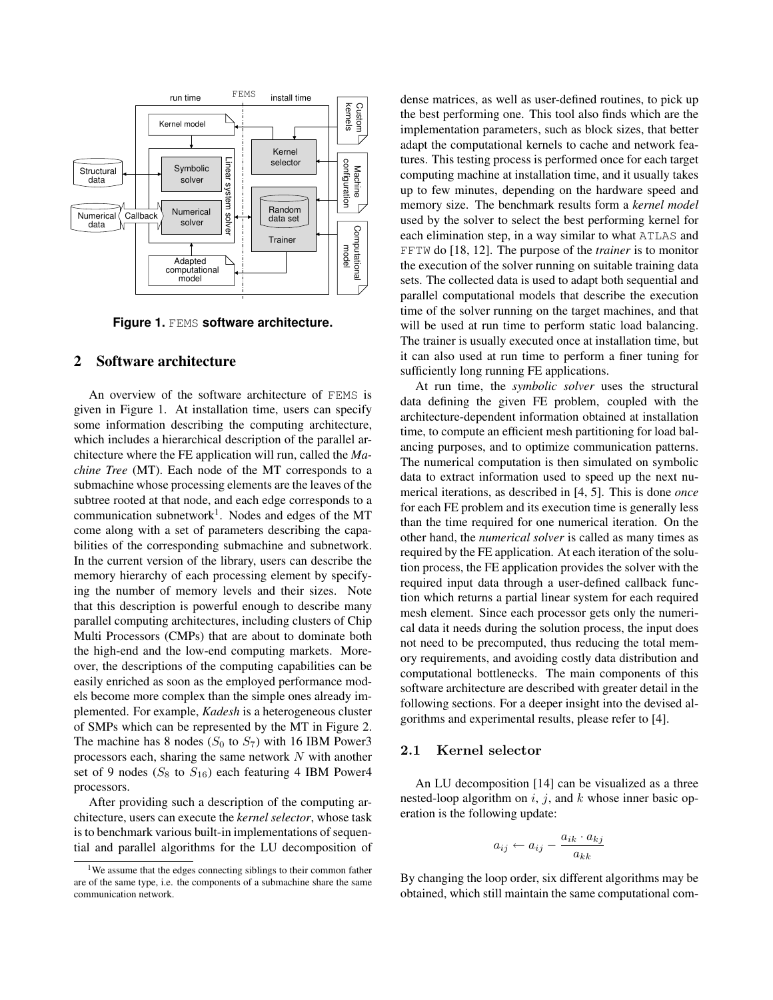

**Figure 1.** FEMS **software architecture.**

# 2 Software architecture

An overview of the software architecture of FEMS is given in Figure 1. At installation time, users can specify some information describing the computing architecture, which includes a hierarchical description of the parallel architecture where the FE application will run, called the *Machine Tree* (MT). Each node of the MT corresponds to a submachine whose processing elements are the leaves of the subtree rooted at that node, and each edge corresponds to a communication subnetwork<sup>1</sup>. Nodes and edges of the MT come along with a set of parameters describing the capabilities of the corresponding submachine and subnetwork. In the current version of the library, users can describe the memory hierarchy of each processing element by specifying the number of memory levels and their sizes. Note that this description is powerful enough to describe many parallel computing architectures, including clusters of Chip Multi Processors (CMPs) that are about to dominate both the high-end and the low-end computing markets. Moreover, the descriptions of the computing capabilities can be easily enriched as soon as the employed performance models become more complex than the simple ones already implemented. For example, *Kadesh* is a heterogeneous cluster of SMPs which can be represented by the MT in Figure 2. The machine has 8 nodes ( $S_0$  to  $S_7$ ) with 16 IBM Power3 processors each, sharing the same network  $N$  with another set of 9 nodes ( $S_8$  to  $S_{16}$ ) each featuring 4 IBM Power4 processors.

After providing such a description of the computing architecture, users can execute the *kernel selector*, whose task is to benchmark various built-in implementations of sequential and parallel algorithms for the LU decomposition of

dense matrices, as well as user-defined routines, to pick up the best performing one. This tool also finds which are the implementation parameters, such as block sizes, that better adapt the computational kernels to cache and network features. This testing process is performed once for each target computing machine at installation time, and it usually takes up to few minutes, depending on the hardware speed and memory size. The benchmark results form a *kernel model* used by the solver to select the best performing kernel for each elimination step, in a way similar to what ATLAS and FFTW do [18, 12]. The purpose of the *trainer* is to monitor the execution of the solver running on suitable training data sets. The collected data is used to adapt both sequential and parallel computational models that describe the execution time of the solver running on the target machines, and that will be used at run time to perform static load balancing. The trainer is usually executed once at installation time, but it can also used at run time to perform a finer tuning for sufficiently long running FE applications.

At run time, the *symbolic solver* uses the structural data defining the given FE problem, coupled with the architecture-dependent information obtained at installation time, to compute an efficient mesh partitioning for load balancing purposes, and to optimize communication patterns. The numerical computation is then simulated on symbolic data to extract information used to speed up the next numerical iterations, as described in [4, 5]. This is done *once* for each FE problem and its execution time is generally less than the time required for one numerical iteration. On the other hand, the *numerical solver* is called as many times as required by the FE application. At each iteration of the solution process, the FE application provides the solver with the required input data through a user-defined callback function which returns a partial linear system for each required mesh element. Since each processor gets only the numerical data it needs during the solution process, the input does not need to be precomputed, thus reducing the total memory requirements, and avoiding costly data distribution and computational bottlenecks. The main components of this software architecture are described with greater detail in the following sections. For a deeper insight into the devised algorithms and experimental results, please refer to [4].

#### 2.1 Kernel selector

An LU decomposition [14] can be visualized as a three nested-loop algorithm on  $i$ ,  $j$ , and  $k$  whose inner basic operation is the following update:

$$
a_{ij} \leftarrow a_{ij} - \frac{a_{ik} \cdot a_{kj}}{a_{kk}}
$$

By changing the loop order, six different algorithms may be obtained, which still maintain the same computational com-

<sup>&</sup>lt;sup>1</sup>We assume that the edges connecting siblings to their common father are of the same type, i.e. the components of a submachine share the same communication network.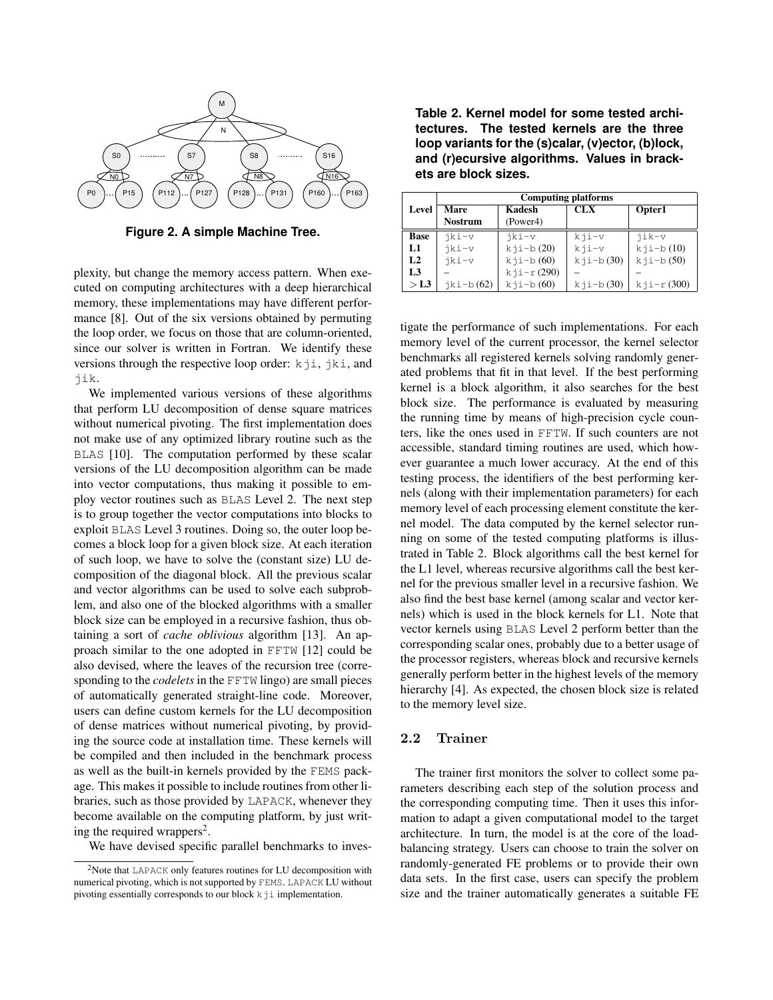

**Figure 2. A simple Machine Tree.**

plexity, but change the memory access pattern. When executed on computing architectures with a deep hierarchical memory, these implementations may have different performance [8]. Out of the six versions obtained by permuting the loop order, we focus on those that are column-oriented, since our solver is written in Fortran. We identify these versions through the respective loop order:  $kji, jki, and$ jik.

We implemented various versions of these algorithms that perform LU decomposition of dense square matrices without numerical pivoting. The first implementation does not make use of any optimized library routine such as the BLAS [10]. The computation performed by these scalar versions of the LU decomposition algorithm can be made into vector computations, thus making it possible to employ vector routines such as BLAS Level 2. The next step is to group together the vector computations into blocks to exploit BLAS Level 3 routines. Doing so, the outer loop becomes a block loop for a given block size. At each iteration of such loop, we have to solve the (constant size) LU decomposition of the diagonal block. All the previous scalar and vector algorithms can be used to solve each subproblem, and also one of the blocked algorithms with a smaller block size can be employed in a recursive fashion, thus obtaining a sort of *cache oblivious* algorithm [13]. An approach similar to the one adopted in FFTW [12] could be also devised, where the leaves of the recursion tree (corresponding to the *codelets* in the FFTW lingo) are small pieces of automatically generated straight-line code. Moreover, users can define custom kernels for the LU decomposition of dense matrices without numerical pivoting, by providing the source code at installation time. These kernels will be compiled and then included in the benchmark process as well as the built-in kernels provided by the FEMS package. This makes it possible to include routines from other libraries, such as those provided by LAPACK, whenever they become available on the computing platform, by just writing the required wrappers<sup>2</sup>.

We have devised specific parallel benchmarks to inves-

**Table 2. Kernel model for some tested architectures. The tested kernels are the three loop variants for the (s)calar, (v)ector, (b)lock, and (r)ecursive algorithms. Values in brackets are block sizes.**

|                |                | <b>Computing platforms</b> |                           |                           |  |  |
|----------------|----------------|----------------------------|---------------------------|---------------------------|--|--|
| Mare<br>Level  |                | Kadesh                     | <b>CLX</b>                | Opter1                    |  |  |
|                | <b>Nostrum</b> | (Power4)                   |                           |                           |  |  |
| <b>Base</b>    | jki-v          | jki-v                      | kji-v                     | jik-v                     |  |  |
| L1             | jki-v          | $k \nightharpoonup b(20)$  | kii-v                     | $k \nightharpoonup b(10)$ |  |  |
| L2             | jki-v          | $k \nightharpoonup b(60)$  | $k \nightharpoonup b(30)$ | $k + i - b(50)$           |  |  |
| L <sub>3</sub> |                | $k \nvert i-r(290)$        |                           |                           |  |  |
| $>$ L3         | $iki-b(62)$    | $k \nightharpoonup b(60)$  | $k \nightharpoonup b(30)$ | $k \nvert i-r(300)$       |  |  |

tigate the performance of such implementations. For each memory level of the current processor, the kernel selector benchmarks all registered kernels solving randomly generated problems that fit in that level. If the best performing kernel is a block algorithm, it also searches for the best block size. The performance is evaluated by measuring the running time by means of high-precision cycle counters, like the ones used in FFTW. If such counters are not accessible, standard timing routines are used, which however guarantee a much lower accuracy. At the end of this testing process, the identifiers of the best performing kernels (along with their implementation parameters) for each memory level of each processing element constitute the kernel model. The data computed by the kernel selector running on some of the tested computing platforms is illustrated in Table 2. Block algorithms call the best kernel for the L1 level, whereas recursive algorithms call the best kernel for the previous smaller level in a recursive fashion. We also find the best base kernel (among scalar and vector kernels) which is used in the block kernels for L1. Note that vector kernels using BLAS Level 2 perform better than the corresponding scalar ones, probably due to a better usage of the processor registers, whereas block and recursive kernels generally perform better in the highest levels of the memory hierarchy [4]. As expected, the chosen block size is related to the memory level size.

## 2.2 Trainer

The trainer first monitors the solver to collect some parameters describing each step of the solution process and the corresponding computing time. Then it uses this information to adapt a given computational model to the target architecture. In turn, the model is at the core of the loadbalancing strategy. Users can choose to train the solver on randomly-generated FE problems or to provide their own data sets. In the first case, users can specify the problem size and the trainer automatically generates a suitable FE

<sup>2</sup>Note that LAPACK only features routines for LU decomposition with numerical pivoting, which is not supported by FEMS. LAPACK LU without pivoting essentially corresponds to our block k ji implementation.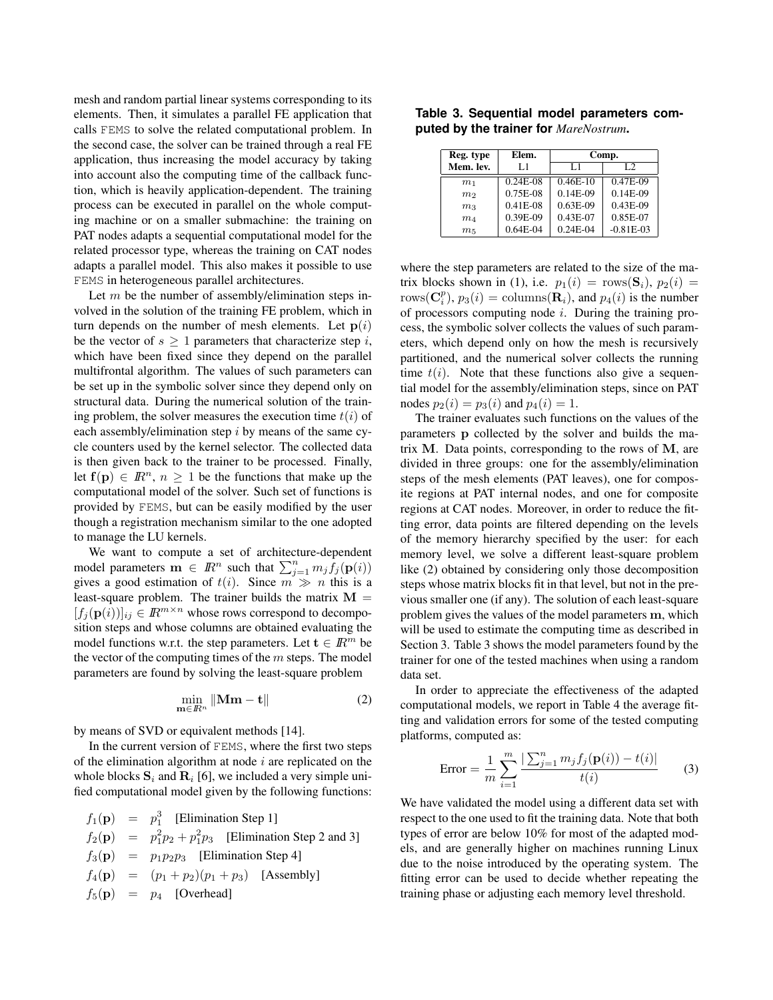mesh and random partial linear systems corresponding to its elements. Then, it simulates a parallel FE application that calls FEMS to solve the related computational problem. In the second case, the solver can be trained through a real FE application, thus increasing the model accuracy by taking into account also the computing time of the callback function, which is heavily application-dependent. The training process can be executed in parallel on the whole computing machine or on a smaller submachine: the training on PAT nodes adapts a sequential computational model for the related processor type, whereas the training on CAT nodes adapts a parallel model. This also makes it possible to use FEMS in heterogeneous parallel architectures.

Let  $m$  be the number of assembly/elimination steps involved in the solution of the training FE problem, which in turn depends on the number of mesh elements. Let  $p(i)$ be the vector of  $s \geq 1$  parameters that characterize step i, which have been fixed since they depend on the parallel multifrontal algorithm. The values of such parameters can be set up in the symbolic solver since they depend only on structural data. During the numerical solution of the training problem, the solver measures the execution time  $t(i)$  of each assembly/elimination step  $i$  by means of the same cycle counters used by the kernel selector. The collected data is then given back to the trainer to be processed. Finally, let  $f(p) \in \mathbb{R}^n$ ,  $n \geq 1$  be the functions that make up the computational model of the solver. Such set of functions is provided by FEMS, but can be easily modified by the user though a registration mechanism similar to the one adopted to manage the LU kernels.

We want to compute a set of architecture-dependent model parameters  $\mathbf{m} \in \mathbb{R}^n$  such that  $\sum_{j=1}^n m_j \hat{f}_j(\mathbf{p}(i))$ gives a good estimation of  $t(i)$ . Since  $m \gg n$  this is a least-square problem. The trainer builds the matrix  $M =$  $[f_j(\mathbf{p}(i))]_{ij} \in \mathbb{R}^{m \times n}$  whose rows correspond to decomposition steps and whose columns are obtained evaluating the model functions w.r.t. the step parameters. Let  $\mathbf{t} \in \mathbb{R}^m$  be the vector of the computing times of the  $m$  steps. The model parameters are found by solving the least-square problem

$$
\min_{\mathbf{m}\in\mathbb{R}^n} \|\mathbf{M}\mathbf{m}-\mathbf{t}\| \tag{2}
$$

by means of SVD or equivalent methods [14].

In the current version of FEMS, where the first two steps of the elimination algorithm at node  $i$  are replicated on the whole blocks  $S_i$  and  $R_i$  [6], we included a very simple unified computational model given by the following functions:

$$
f_1(\mathbf{p}) = p_1^3 \quad \text{[Elimination Step 1]}
$$
\n
$$
f_2(\mathbf{p}) = p_1^2 p_2 + p_1^2 p_3 \quad \text{[Elimination Step 2 and 3]}
$$
\n
$$
f_3(\mathbf{p}) = p_1 p_2 p_3 \quad \text{[Elimination Step 4]}
$$
\n
$$
f_4(\mathbf{p}) = (p_1 + p_2)(p_1 + p_3) \quad \text{[Assembly]}
$$
\n
$$
f_5(\mathbf{p}) = p_4 \quad \text{[Overhead]}
$$

**Table 3. Sequential model parameters computed by the trainer for** *MareNostrum***.**

| Reg. type      | Elem.        | Comp.        |             |  |
|----------------|--------------|--------------|-------------|--|
| Mem. lev.      | L1           | L1           | L2          |  |
| m <sub>1</sub> | $0.24E-08$   | $0.46E-10$   | $0.47E-09$  |  |
| m <sub>2</sub> | $0.75E-08$   | $0.14E-09$   | $0.14E-09$  |  |
| m <sub>3</sub> | $0.41E - 08$ | $0.63E-09$   | $0.43E-09$  |  |
| m <sub>4</sub> | 0.39E-09     | $0.43E - 07$ | 0.85E-07    |  |
| m <sub>5</sub> | $0.64E-04$   | $0.24E-04$   | $-0.81E-03$ |  |

where the step parameters are related to the size of the matrix blocks shown in (1), i.e.  $p_1(i) = \text{rows}(\mathbf{S}_i)$ ,  $p_2(i) =$ rows $(\mathbf{C}_i^p, p_3(i) = \text{columns}(\mathbf{R}_i)$ , and  $p_4(i)$  is the number of processors computing node i. During the training process, the symbolic solver collects the values of such parameters, which depend only on how the mesh is recursively partitioned, and the numerical solver collects the running time  $t(i)$ . Note that these functions also give a sequential model for the assembly/elimination steps, since on PAT nodes  $p_2(i) = p_3(i)$  and  $p_4(i) = 1$ .

The trainer evaluates such functions on the values of the parameters p collected by the solver and builds the matrix  $M$ . Data points, corresponding to the rows of  $M$ , are divided in three groups: one for the assembly/elimination steps of the mesh elements (PAT leaves), one for composite regions at PAT internal nodes, and one for composite regions at CAT nodes. Moreover, in order to reduce the fitting error, data points are filtered depending on the levels of the memory hierarchy specified by the user: for each memory level, we solve a different least-square problem like (2) obtained by considering only those decomposition steps whose matrix blocks fit in that level, but not in the previous smaller one (if any). The solution of each least-square problem gives the values of the model parameters m, which will be used to estimate the computing time as described in Section 3. Table 3 shows the model parameters found by the trainer for one of the tested machines when using a random data set.

In order to appreciate the effectiveness of the adapted computational models, we report in Table 4 the average fitting and validation errors for some of the tested computing platforms, computed as:

Error = 
$$
\frac{1}{m} \sum_{i=1}^{m} \frac{\left| \sum_{j=1}^{n} m_j f_j(\mathbf{p}(i)) - t(i) \right|}{t(i)}
$$
(3)

We have validated the model using a different data set with respect to the one used to fit the training data. Note that both types of error are below 10% for most of the adapted models, and are generally higher on machines running Linux due to the noise introduced by the operating system. The fitting error can be used to decide whether repeating the training phase or adjusting each memory level threshold.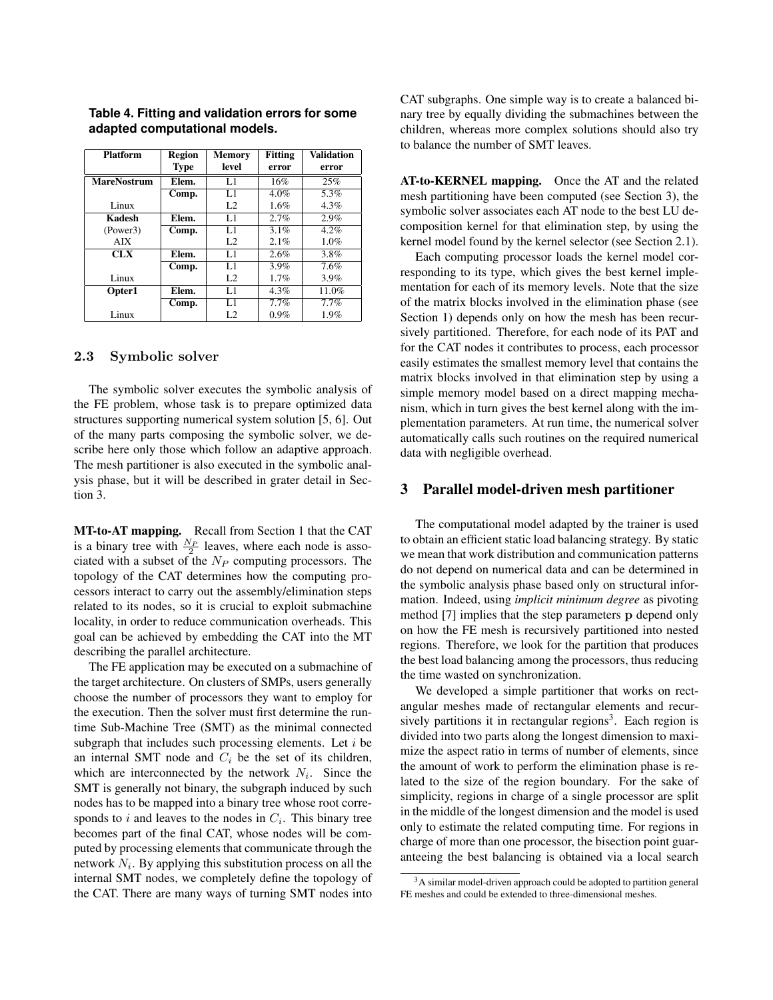| <b>Platform</b>    | <b>Region</b> | <b>Memory</b>  | <b>Fitting</b> | <b>Validation</b> |
|--------------------|---------------|----------------|----------------|-------------------|
|                    | Type          | level          | error          | error             |
| <b>MareNostrum</b> | Elem.         | L1             | 16%            | 25%               |
|                    | Comp.         | L1             | 4.0%           | 5.3%              |
| Linux              |               | L2             | 1.6%           | 4.3%              |
| <b>Kadesh</b>      | Elem.         | L1             | 2.7%           | 2.9%              |
| (Power3)           | Comp.         | L1             | 3.1%           | 4.2%              |
| <b>AIX</b>         |               | L2             | 2.1%           | 1.0%              |
| <b>CLX</b>         | Elem.         | L1             | 2.6%           | 3.8%              |
|                    | Comp.         | L1             | 3.9%           | 7.6%              |
| Linux              |               | L <sub>2</sub> | 1.7%           | 3.9%              |
| Opter1             | Elem.         | L1             | 4.3%           | 11.0%             |
|                    | Comp.         | L1             | 7.7%           | 7.7%              |
| Linux              |               | L2             | $0.9\%$        | 1.9%              |

**Table 4. Fitting and validation errors for some adapted computational models.**

#### 2.3 Symbolic solver

The symbolic solver executes the symbolic analysis of the FE problem, whose task is to prepare optimized data structures supporting numerical system solution [5, 6]. Out of the many parts composing the symbolic solver, we describe here only those which follow an adaptive approach. The mesh partitioner is also executed in the symbolic analysis phase, but it will be described in grater detail in Section 3.

MT-to-AT mapping. Recall from Section 1 that the CAT is a binary tree with  $\frac{N_P}{2}$  leaves, where each node is associated with a subset of the  $N_P$  computing processors. The topology of the CAT determines how the computing processors interact to carry out the assembly/elimination steps related to its nodes, so it is crucial to exploit submachine locality, in order to reduce communication overheads. This goal can be achieved by embedding the CAT into the MT describing the parallel architecture.

The FE application may be executed on a submachine of the target architecture. On clusters of SMPs, users generally choose the number of processors they want to employ for the execution. Then the solver must first determine the runtime Sub-Machine Tree (SMT) as the minimal connected subgraph that includes such processing elements. Let  $i$  be an internal SMT node and  $C_i$  be the set of its children, which are interconnected by the network  $N_i$ . Since the SMT is generally not binary, the subgraph induced by such nodes has to be mapped into a binary tree whose root corresponds to i and leaves to the nodes in  $C_i$ . This binary tree becomes part of the final CAT, whose nodes will be computed by processing elements that communicate through the network  $N_i$ . By applying this substitution process on all the internal SMT nodes, we completely define the topology of the CAT. There are many ways of turning SMT nodes into CAT subgraphs. One simple way is to create a balanced binary tree by equally dividing the submachines between the children, whereas more complex solutions should also try to balance the number of SMT leaves.

AT-to-KERNEL mapping. Once the AT and the related mesh partitioning have been computed (see Section 3), the symbolic solver associates each AT node to the best LU decomposition kernel for that elimination step, by using the kernel model found by the kernel selector (see Section 2.1).

Each computing processor loads the kernel model corresponding to its type, which gives the best kernel implementation for each of its memory levels. Note that the size of the matrix blocks involved in the elimination phase (see Section 1) depends only on how the mesh has been recursively partitioned. Therefore, for each node of its PAT and for the CAT nodes it contributes to process, each processor easily estimates the smallest memory level that contains the matrix blocks involved in that elimination step by using a simple memory model based on a direct mapping mechanism, which in turn gives the best kernel along with the implementation parameters. At run time, the numerical solver automatically calls such routines on the required numerical data with negligible overhead.

#### 3 Parallel model-driven mesh partitioner

The computational model adapted by the trainer is used to obtain an efficient static load balancing strategy. By static we mean that work distribution and communication patterns do not depend on numerical data and can be determined in the symbolic analysis phase based only on structural information. Indeed, using *implicit minimum degree* as pivoting method [7] implies that the step parameters p depend only on how the FE mesh is recursively partitioned into nested regions. Therefore, we look for the partition that produces the best load balancing among the processors, thus reducing the time wasted on synchronization.

We developed a simple partitioner that works on rectangular meshes made of rectangular elements and recursively partitions it in rectangular regions<sup>3</sup>. Each region is divided into two parts along the longest dimension to maximize the aspect ratio in terms of number of elements, since the amount of work to perform the elimination phase is related to the size of the region boundary. For the sake of simplicity, regions in charge of a single processor are split in the middle of the longest dimension and the model is used only to estimate the related computing time. For regions in charge of more than one processor, the bisection point guaranteeing the best balancing is obtained via a local search

<sup>&</sup>lt;sup>3</sup>A similar model-driven approach could be adopted to partition general FE meshes and could be extended to three-dimensional meshes.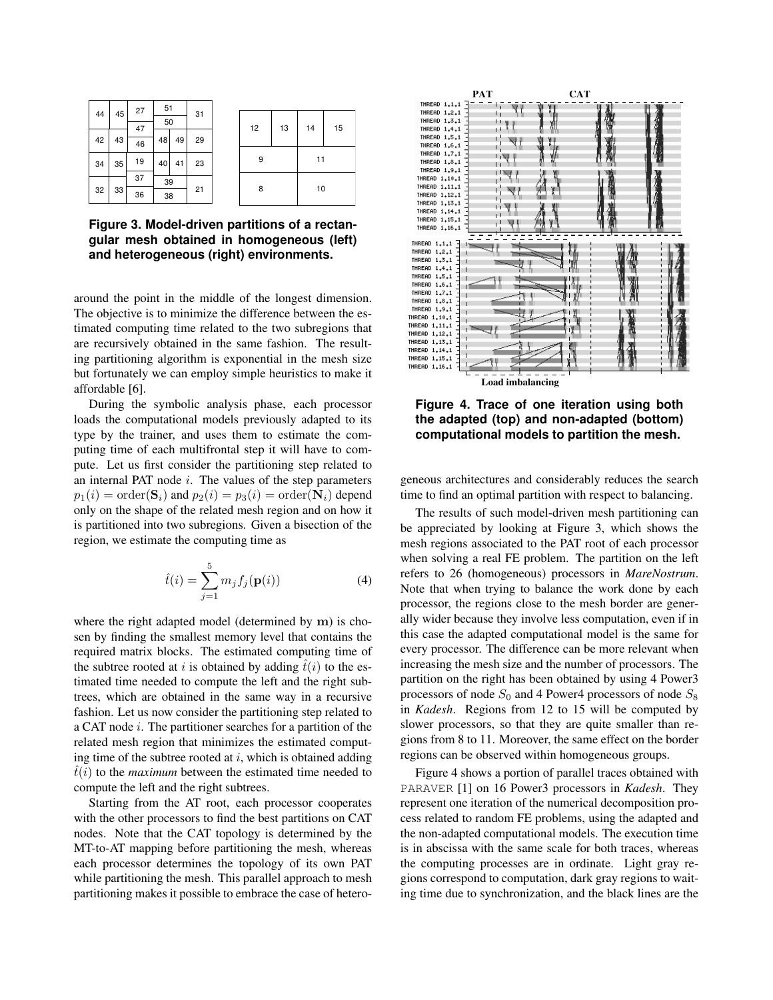

**Figure 3. Model-driven partitions of a rectangular mesh obtained in homogeneous (left) and heterogeneous (right) environments.**

around the point in the middle of the longest dimension. The objective is to minimize the difference between the estimated computing time related to the two subregions that are recursively obtained in the same fashion. The resulting partitioning algorithm is exponential in the mesh size but fortunately we can employ simple heuristics to make it affordable [6].

During the symbolic analysis phase, each processor loads the computational models previously adapted to its type by the trainer, and uses them to estimate the computing time of each multifrontal step it will have to compute. Let us first consider the partitioning step related to an internal PAT node  $i$ . The values of the step parameters  $p_1(i) = \text{order}(\mathbf{S}_i)$  and  $p_2(i) = p_3(i) = \text{order}(\mathbf{N}_i)$  depend only on the shape of the related mesh region and on how it is partitioned into two subregions. Given a bisection of the region, we estimate the computing time as

$$
\hat{t}(i) = \sum_{j=1}^{5} m_j f_j(\mathbf{p}(i))
$$
\n(4)

where the right adapted model (determined by m) is chosen by finding the smallest memory level that contains the required matrix blocks. The estimated computing time of the subtree rooted at i is obtained by adding  $\hat{t}(i)$  to the estimated time needed to compute the left and the right subtrees, which are obtained in the same way in a recursive fashion. Let us now consider the partitioning step related to a CAT node  $i$ . The partitioner searches for a partition of the related mesh region that minimizes the estimated computing time of the subtree rooted at  $i$ , which is obtained adding  $\dot{t}(i)$  to the *maximum* between the estimated time needed to compute the left and the right subtrees.

Starting from the AT root, each processor cooperates with the other processors to find the best partitions on CAT nodes. Note that the CAT topology is determined by the MT-to-AT mapping before partitioning the mesh, whereas each processor determines the topology of its own PAT while partitioning the mesh. This parallel approach to mesh partitioning makes it possible to embrace the case of hetero-



**Figure 4. Trace of one iteration using both the adapted (top) and non-adapted (bottom) computational models to partition the mesh.**

geneous architectures and considerably reduces the search time to find an optimal partition with respect to balancing.

The results of such model-driven mesh partitioning can be appreciated by looking at Figure 3, which shows the mesh regions associated to the PAT root of each processor when solving a real FE problem. The partition on the left refers to 26 (homogeneous) processors in *MareNostrum*. Note that when trying to balance the work done by each processor, the regions close to the mesh border are generally wider because they involve less computation, even if in this case the adapted computational model is the same for every processor. The difference can be more relevant when increasing the mesh size and the number of processors. The partition on the right has been obtained by using 4 Power3 processors of node  $S_0$  and 4 Power4 processors of node  $S_8$ in *Kadesh*. Regions from 12 to 15 will be computed by slower processors, so that they are quite smaller than regions from 8 to 11. Moreover, the same effect on the border regions can be observed within homogeneous groups.

Figure 4 shows a portion of parallel traces obtained with PARAVER [1] on 16 Power3 processors in *Kadesh*. They represent one iteration of the numerical decomposition process related to random FE problems, using the adapted and the non-adapted computational models. The execution time is in abscissa with the same scale for both traces, whereas the computing processes are in ordinate. Light gray regions correspond to computation, dark gray regions to waiting time due to synchronization, and the black lines are the